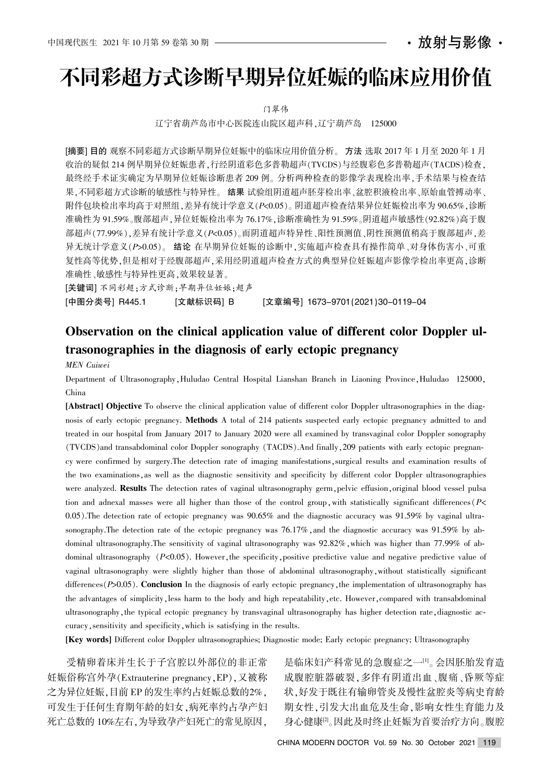## · 放射与影像 ·

# 不同彩超方式诊断早期异位妊娠的临床应用价值

门翠伟

辽宁省葫芦岛市中心医院连山院区超声科,辽宁葫芦岛 125000

[摘要] 目的 观察不同彩超方式诊断早期异位妊娠中的临床应用价值分析。方法 选取 2017 年 1 月至 2020 年 1 月 收治的疑似 214 例早期异位妊娠患者,行经阴道彩色多普勒超声(TVCDS)与经腹彩色多普勒超声(TACDS)检查, 最终经手术证实确定为早期异位妊娠诊断患者 209 例。分析两种检查的影像学表现检出率,手术结果与检查结 果,不同彩超方式诊断的敏感性与特异性。结果 试验组阴道超声胚芽检出率、盆腔积液检出率、原始血管搏动率、 附件包块检出率均高于对照组,差异有统计学意义(P<0.05)。阴道超声检查结果异位妊娠检出率为 90.65%,诊断 准确性为 91.59%。腹部超声,异位妊娠检出率为 76.17%,诊断准确性为 91.59%。阴道超声敏感性(92.82%)高于腹 部超声(77.99%),差异有统计学意义(P<0.05)。而阴道超声特异性、阳性预测值、阴性预测值稍高于腹部超声,差 异无统计学意义(P>0.05)。 结论 在早期异位妊娠的诊断中,实施超声检查具有操作简单、对身体伤害小、可重 复性高等优势,但是相对于经腹部超声,采用经阴道超声检查方式的典型异位妊娠超声影像学检出率更高,诊断 准确性、敏感性与特异性更高,效果较显著。

[关键词] 不同彩超;方式诊断;早期异位妊娠;超声

[中图分类号] R445.1 [文献标识码] B [文章编号] 1673-9701(2021)30-0119-04

# Observation on the clinical application value of different color Doppler ultrasonographies in the diagnosis of early ectopic pregnancy

MEN Cuiwei

Department of Ultrasonography, Huludao Central Hospital Lianshan Branch in Liaoning Province, Huludao 125000, China

[Abstract] Objective To observe the clinical application value of different color Doppler ultrasonographies in the diagnosis of early ectopic pregnancy. Methods A total of 214 patients suspected early ectopic pregnancy admitted to and treated in our hospital from January 2017 to January 2020 were all examined by transvaginal color Doppler sonography (TVCDS) and transabdominal color Doppler sonography (TACDS). And finally, 209 patients with early ectopic pregnancy were confirmed by surgery.The detection rate of imaging manifestations, surgical results and examination results of the two examinations as well as the diagnostic sensitivity and specificity by different color Doppler ultrasonographies were analyzed. Results The detection rates of vaginal ultrasonography germ, pelvic effusion, original blood vessel pulsa tion and adnexal masses were all higher than those of the control group, with statistically significant differences  $P<sub>1</sub>$ 0.05). The detection rate of ectopic pregnancy was  $90.65\%$  and the diagnostic accuracy was  $91.59\%$  by vaginal ultrasonography. The detection rate of the ectopic pregnancy was  $76.17\%$ , and the diagnostic accuracy was  $91.59\%$  by abdominal ultrasonography. The sensitivity of vaginal ultrasonography was  $92.82\%$ , which was higher than 77.99% of ab dominal ultrasonography  $(P<0.05)$ . However, the specificity, positive predictive value and negative predictive value of vaginal ultrasonography were slightly higher than those of abdominal ultrasonography, without statistically significant differences  $(P>0.05)$ . Conclusion In the diagnosis of early ectopic pregnancy, the implementation of ultrasonography has the advantages of simplicity, less harm to the body and high repeatability, etc. However, compared with transabdominal ultrasonography, the typical ectopic pregnancy by transvaginal ultrasonography has higher detection rate, diagnostic accuracy, sensitivity and specificity, which is satisfying in the results.

[Key words] Different color Doppler ultrasonographies; Diagnostic mode; Early ectopic pregnancy; Ultrasonography

受精卵着床并生长于子宫腔以外部位的非正常 妊娠俗称宫外孕(Extrauterine pregnancy, EP),又被称 之为异位妊娠,目前 EP 的发生率约占妊娠总数的2%, 可发生于任何生育期年龄的妇女,病死率约占孕产妇 死亡总数的 10%左右,为导致孕产妇死亡的常见原因,

是临床妇产科常见的急腹症之一。1。会因胚胎发育造 成腹腔脏器破裂,多伴有阴道出血、腹痛、昏厥等症 状,好发于既往有输卵管炎及慢性盆腔炎等病史育龄 期女性,引发大出血危及生命,影响女性生育能力及 身心健康<sup>[2]</sup>。因此及时终止妊娠为首要治疗方向。腹腔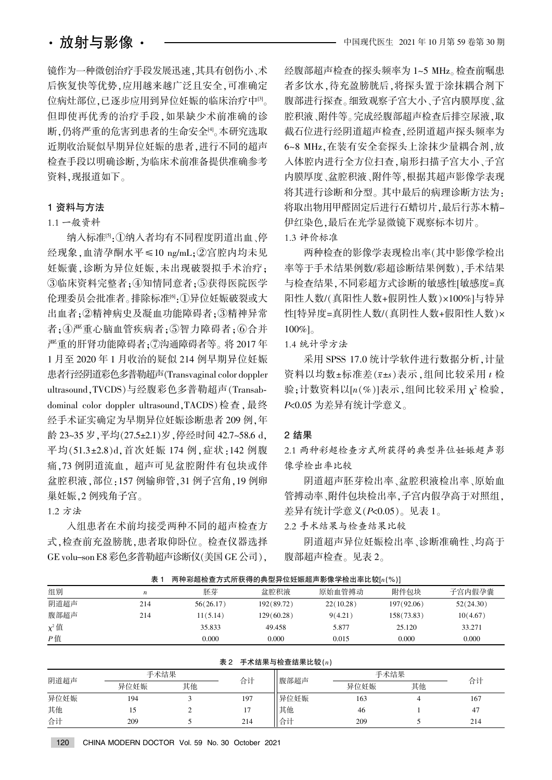镜作为一种微创治疗手段发展迅速,其具有创伤小、术 后恢复快等优势,应用越来越广泛且安全,可准确定 位病灶部位,已逐步应用到异位妊娠的临床治疗中[3]。 但即使再优秀的治疗手段,如果缺少术前准确的诊 断,仍将严重的危害到患者的生命安全吗。本研究选取 近期收治疑似早期异位妊娠的患者,进行不同的超声 检查手段以明确诊断,为临床术前准备提供准确参考 资料,现报道如下。

#### 1 资料与方法

### 1.1 一般资料

纳入标准<sup>[5]</sup>:1纳入者均有不同程度阴道出血、停 经现象,血清孕酮水平≤10 ng/mL;②宫腔内均未见 妊娠囊,诊断为异位妊娠,未出现破裂拟手术治疗; ③临床资料完整者;4知情同意者;5获得医院医学 伦理委员会批准者。排除标准<sup>[6</sup>]:①异位妊娠破裂或大 出血者;2精神病史及凝血功能障碍者;3精神异常 者:4严重心脑血管疾病者:5智力障碍者:6合并 严重的肝肾功能障碍者;⑦沟通障碍者等。将 2017 年 1 月至 2020 年 1 月收治的疑似 214 例早期异位妊娠 患者行经阴道彩色多普勒超声(Transvaginal color doppler ultrasound, TVCDS)与经腹彩色多普勒超声(Transabdominal color doppler ultrasound, TACDS) 检查, 最终 经手术证实确定为早期异位妊娠诊断患者 209 例,年 龄 23~35 岁, 平均(27.5±2.1) 岁, 停经时间 42.7~58.6 d, 平均(51.3±2.8)d,首次妊娠 174 例,症状:142 例腹 痛,73 例阴道流血, 超声可见盆腔附件有包块或伴 盆腔积液,部位:157 例输卵管,31 例子宫角,19 例卵 巢妊娠.2 例残角子宫。

1.2 方法

入组患者在术前均接受两种不同的超声检查方 式,检查前充盈膀胱,患者取仰卧位。检查仪器选择 GE volu-son E8 彩色多普勒超声诊断仪(美国 GE 公司),

经腹部超声检查的探头频率为 1~5 MHz。检查前嘱患 者多饮水,待充盈膀胱后,将探头置于涂抹耦合剂下 腹部进行探查。细致观察子宫大小、子宫内膜厚度、盆 腔积液、附件等。完成经腹部超声检查后排空尿液,取 截石位进行经阴道超声检查,经阴道超声探头频率为 6~8 MHz, 在装有安全套探头上涂抹少量耦合剂, 放 入体腔内进行全方位扫查, 扇形扫描子宫大小、子宫 内膜厚度、盆腔积液、附件等,根据其超声影像学表现 将其进行诊断和分型。其中最后的病理诊断方法为: 将取出物用甲醛固定后进行石蜡切片,最后行苏木精-伊红染色,最后在光学显微镜下观察标本切片。 1.3 评价标准

两种检查的影像学表现检出率(其中影像学检出 率等于手术结果例数/彩超诊断结果例数),手术结果 与检查结果,不同彩超方式诊断的敏感性[敏感度=真 阳性人数/(真阳性人数+假阴性人数)×100%]与特异 性[特异度=真阴性人数/(真阴性人数+假阳性人数)×  $100\%$ ]

1.4 统计学方法

采用 SPSS 17.0 统计学软件进行数据分析, 计量 资料以均数±标准差 $(\bar{x}$ ±s)表示,组间比较采用  $t$  检 验;计数资料以 $[n(\%)]$ 表示,组间比较采用  $\chi^2$  检验, P<0.05 为差异有统计学意义。

#### 2 结果

2.1 两种彩超检查方式所获得的典型异位妊娠超声影 像学检出率比较

阴道超声胚芽检出率、盆腔积液检出率、原始血 管搏动率、附件包块检出率,子宫内假孕高于对照组, 差异有统计学意义 $(P< 0.05)$ 。见表 1。

2.2 手术结果与检查结果比较

阴道超声异位妊娠检出率、诊断准确性、均高于 腹部超声检查。见表 2。

| <b>AXI</b><br>网件杉妲悭旦刀式闭状特的夹空开世妊娠妲严影隊子悭山竿儿我 #( /0 / |     |           |            |           |            |           |
|----------------------------------------------------|-----|-----------|------------|-----------|------------|-----------|
| 组别                                                 | n   | 胚芽        | 盆腔积液       | 原始血管搏动    | 附件包块       | 子宫内假孕囊    |
| 阴道超声                                               | 214 | 56(26.17) | 192(89.72) | 22(10.28) | 197(92.06) | 52(24.30) |
| 腹部超声                                               | 214 | 11(5.14)  | 129(60.28) | 9(4.21)   | 158(73.83) | 10(4.67)  |
| $\chi^2$ 值                                         |     | 35.833    | 49.458     | 5.877     | 25.120     | 33.271    |
| $P$ 值                                              |     | 0.000     | 0.000      | 0.015     | 0.000      | 0.000     |

而种彩势检本大手所获得的典型号位标框规主影像学检出率比於[10/1]

| 表 2<br>手术结果与检查结果比较(n) |      |    |     |      |      |      |     |
|-----------------------|------|----|-----|------|------|------|-----|
| 阴道超声                  | 手术结果 |    |     | 腹部超声 |      | 手术结果 |     |
|                       | 异位妊娠 | 其他 | 合计  |      | 异位妊娠 | 其他   | 合计  |
| 异位妊娠                  | 194  |    | 197 | 异位妊娠 | 163  |      | 167 |
| 其他                    |      |    | 17  | 其他   | 46   |      | 47  |
| 合计                    | 209  |    | 214 | 合计   | 209  |      | 214 |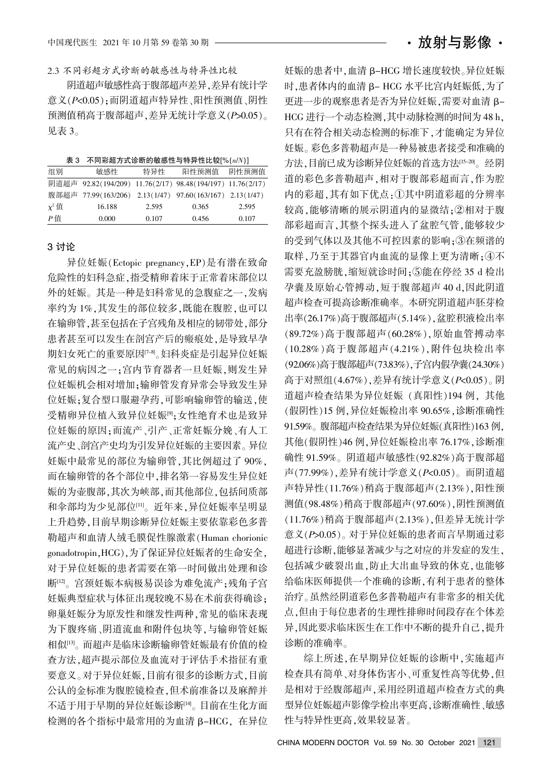2.3 不同彩超方式诊断的敏感性与特异性比较

阴道超声敏感性高于腹部超声差异, 差异有统计学 意义(P<0.05): 而阴道超声特异性、阳性预测值、阴性 预测值稍高于腹部超声,差异无统计学意义(P>0.05)。 见表 3。

| 表 3 不同彩超方式诊断的敏感性与特异性比较[%(n/N)] |  |  |
|--------------------------------|--|--|
|--------------------------------|--|--|

| 组别         | 敏感性                                                        | 特异性   | 阳性预测值 | 阴性预测值 |
|------------|------------------------------------------------------------|-------|-------|-------|
|            | 阴道超声 92.82(194/209) 11.76(2/17) 98.48(194/197) 11.76(2/17) |       |       |       |
|            | 腹部超声 77.99(163/206) 2.13(1/47) 97.60(163/167) 2.13(1/47)   |       |       |       |
| $\chi^2$ 值 | 16.188                                                     | 2.595 | 0.365 | 2.595 |
| P値         | 0.000                                                      | 0.107 | 0.456 | 0.107 |

#### 3 讨论

异位妊娠(Ectopic pregnancy,EP)是有潜在致命 危险性的妇科急症,指受精卵着床于正常着床部位以 外的妊娠。其是一种是妇科常见的急腹症之一,发病 率约为1%,其发生的部位较多,既能在腹腔,也可以 在输卵管,甚至包括在子宫残角及相应的韧带处,部分 患者甚至可以发生在剖宫产后的瘢痕处,是导致早孕 期妇女死亡的重要原因<sup>[7-8]</sup>。妇科炎症是引起异位妊娠 常见的病因之一;宫内节育器者一旦妊娠,则发生异 位妊娠机会相对增加: 输卵管发育异常会导致发生异 位妊娠:复合型口服避孕药,可影响输卵管的输送,使 受精卵异位植入致异位妊娠<sup>[9]</sup>:女性绝育术也是致异 位妊娠的原因;而流产、引产、正常妊娠分娩、有人工 流产史、剖宫产史均为引发异位妊娠的主要因素。异位 妊娠中最常见的部位为输卵管,其比例超过了90%, 而在输卵管的各个部位中,排名第一容易发生异位妊 娠的为壶腹部,其次为峡部,而其他部位,包括间质部 和伞部均为少见部位[11]。近年来,异位妊娠率呈明显 上升趋势,目前早期诊断异位妊娠主要依靠彩色多普 勒超声和血清人绒毛膜促性腺激素(Human chorionic gonadotropin, HCG), 为了保证异位妊娠者的生命安全, 对于异位妊娠的患者需要在第一时间做出处理和诊 断[12]。宫颈妊娠本病极易误诊为难免流产:残角子宫 妊娠典型症状与体征出现较晚不易在术前获得确诊: 卵巢妊娠分为原发性和继发性两种,常见的临床表现 为下腹疼痛、阴道流血和附件包块等,与输卵管妊娠 相似[13]。而超声是临床诊断输卵管妊娠最有价值的检 查方法袁超声提示部位及血流对于评估手术指征有重 要意义。对于异位妊娠,目前有很多的诊断方式,目前 公认的金标准为腹腔镜检查,但术前准备以及麻醉并 不适于用于早期的异位妊娠诊断[14]。目前在生化方面 检测的各个指标中最常用的为血清 β-HCG, 在异位

妊娠的患者中,血清 β-HCG 增长速度较快。异位妊娠 时,患者体内的血清 β- HCG 水平比宫内妊娠低,为了 更进一步的观察患者是否为异位妊娠,需要对血清 B-HCG 进行一个动态检测,其中动脉检测的时间为 48 h, 只有在符合相关动态检测的标准下,才能确定为异位 妊娠。彩色多普勒超声是一种易被患者接受和准确的 方法,目前已成为诊断异位妊娠的首选方法[15-20]。经阴 道的彩色多普勒超声,相对于腹部彩超而言,作为腔 内的彩超,其有如下优点:1其中阴道彩超的分辨率 较高,能够清晰的展示阴道内的显微结:2相对于腹 部彩超而言,其整个探头进入了盆腔气管,能够较少 的受到气体以及其他不可控因素的影响: 3 在频谱的 取样,乃至于其器官内血流的显像上更为清晰;4不 需要充盈膀胱,缩短就诊时间;5能在停经 35 d 检出 孕囊及原始心管搏动,短于腹部超声 40 d,因此阴道 超声检查可提高诊断准确率。本研究阴道超声胚芽检 出率(26.17%)高于腹部超声(5.14%), 盆腔积液检出率 (89.72%)高于腹部超声(60.28%),原始血管搏动率 (10.28%)高于腹部超声(4.21%),附件包块检出率 (92.06%)高于腹部超声(73.83%),子宫内假孕囊(24.30%) 高于对照组(4.67%),差异有统计学意义(P<0.05)。阴 道超声检查结果为异位妊娠 (真阳性)194 例, 其他 (假阴性)15 例,异位妊娠检出率 90.65%,诊断准确性 91.59%。腹部超声检查结果为异位妊娠(真阳性)163 例, 其他(假阴性) 46 例, 异位妊娠检出率 76.17%, 诊断准 确性 91.59%。阴道超声敏感性(92.82%)高于腹部超 声 $(77.99\%)$ , 差异有统计学意义 $(P< 0.05)$ 。而阴道超 声特异性(11.76%)稍高于腹部超声(2.13%), 阳性预 测值(98.48%)稍高于腹部超声(97.60%), 阴性预测值 (11.76%)稍高于腹部超声(2.13%),但差异无统计学 意义(P>0.05)。对于异位妊娠的患者而言早期通过彩 超进行诊断,能够显著减少与之对应的并发症的发生, 包括减少破裂出血,防止大出血导致的休克,也能够 给临床医师提供一个准确的诊断,有利于患者的整体 治疗。虽然经阴道彩色多普勒超声有非常多的相关优 点,但由于每位患者的生理性排卵时间段存在个体差 异,因此要求临床医生在工作中不断的提升自己,提升 诊断的准确率。

综上所述,在早期异位妊娠的诊断中,实施超声 检查具有简单、对身体伤害小、可重复性高等优势,但 是相对于经腹部超声,采用经阴道超声检查方式的典 型异位妊娠超声影像学检出率更高,诊断准确性、敏感 性与特异性更高,效果较显著。